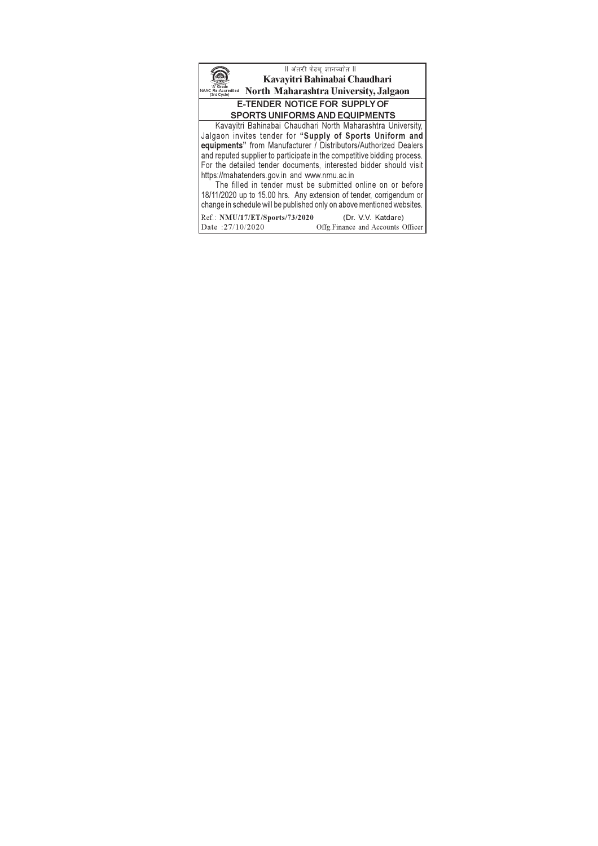| ll अंतरी पेटव् ज्ञानज्योत ll                                                           |
|----------------------------------------------------------------------------------------|
| Kavayitri Bahinabai Chaudhari                                                          |
| North Maharashtra University, Jalgaon<br>(3rd Cycle)                                   |
| <b>E-TENDER NOTICE FOR SUPPLY OF</b>                                                   |
| <b>SPORTS UNIFORMS AND EQUIPMENTS</b>                                                  |
| Kavayitri Bahinabai Chaudhari North Maharashtra University,                            |
| Jalgaon invites tender for "Supply of Sports Uniform and                               |
| equipments" from Manufacturer / Distributors/Authorized Dealers                        |
| and reputed supplier to participate in the competitive bidding process.                |
| For the detailed tender documents, interested bidder should visit                      |
| https://mahatenders.gov.in and www.nmu.ac.in                                           |
| The filled in tender must be submitted online on or before                             |
| 18/11/2020 up to 15.00 hrs. Any extension of tender, corrigendum or                    |
| change in schedule will be published only on above mentioned websites.                 |
| $D_{\alpha}f \cdot NMI1/17/FT/6_{\text{nonto}}/73/200$<br>$(\Gamma r$ $V)$ $K$ atdaro) |

| [Ref.: NMU/17/ET/Sports/73/2020] | (Dr. V.V. Katdare)                 |
|----------------------------------|------------------------------------|
| Date: 27/10/2020                 | Offg. Finance and Accounts Officer |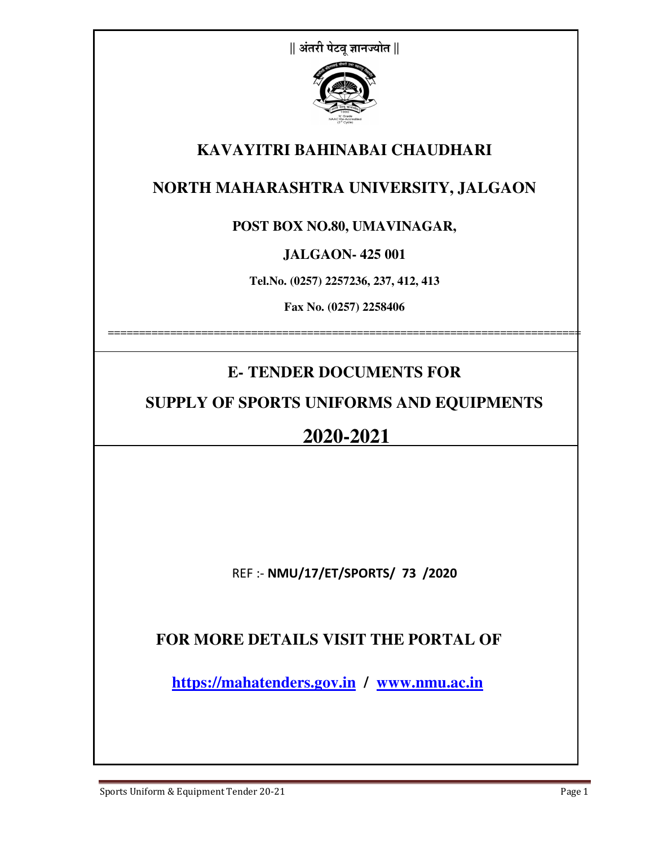| अंतरी पेटवू ज्ञानज्योत |
|------------------------|
|------------------------|



### **KAVAYITRI BAHINABAI CHAUDHARI**

## **NORTH MAHARASHTRA UNIVERSITY, JALGAON**

### **POST BOX NO.80, UMAVINAGAR,**

**JALGAON- 425 001** 

**Tel.No. (0257) 2257236, 237, 412, 413** 

**Fax No. (0257) 2258406** 

============================================================================

## **E- TENDER DOCUMENTS FOR**

**SUPPLY OF SPORTS UNIFORMS AND EQUIPMENTS** 

# **2020-2021**

REF :- **NMU/17/ET/SPORTS/ 73 /2020** 

## **FOR MORE DETAILS VISIT THE PORTAL OF**

 **https://mahatenders.gov.in / www.nmu.ac.in**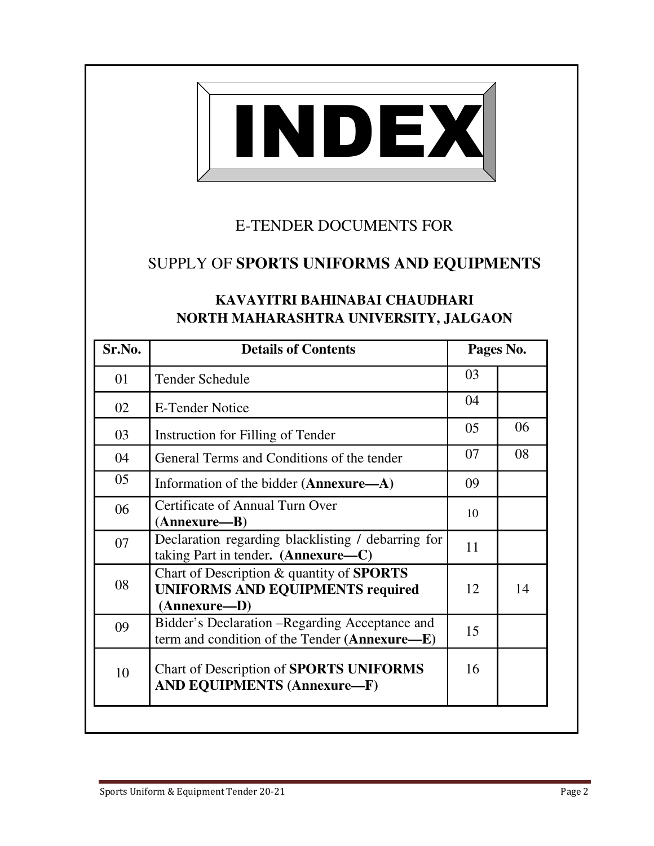

## E-TENDER DOCUMENTS FOR

# SUPPLY OF **SPORTS UNIFORMS AND EQUIPMENTS**

| Sr.No.                                                                                                     | <b>Details of Contents</b>                                                                       |                | Pages No. |
|------------------------------------------------------------------------------------------------------------|--------------------------------------------------------------------------------------------------|----------------|-----------|
| 01                                                                                                         | <b>Tender Schedule</b>                                                                           | 03             |           |
| 02                                                                                                         | E-Tender Notice                                                                                  | 04             |           |
| 03                                                                                                         | Instruction for Filling of Tender                                                                | 0 <sub>5</sub> | 06        |
| 04                                                                                                         | General Terms and Conditions of the tender                                                       | 07             | 08        |
| 05                                                                                                         | Information of the bidder (Annexure—A)                                                           | 09             |           |
| Certificate of Annual Turn Over<br>06<br>$(Annexure-B)$                                                    |                                                                                                  | 10             |           |
| 07                                                                                                         | Declaration regarding blacklisting / debarring for<br>taking Part in tender. (Annexure-C)        | 11             |           |
| Chart of Description & quantity of SPORTS<br>08<br><b>UNIFORMS AND EQUIPMENTS required</b><br>(Annexure-D) |                                                                                                  | 12             | 14        |
| 09                                                                                                         | Bidder's Declaration - Regarding Acceptance and<br>term and condition of the Tender (Annexure-E) | 15             |           |
| 10                                                                                                         | Chart of Description of <b>SPORTS UNIFORMS</b><br><b>AND EQUIPMENTS (Annexure—F)</b>             | 16             |           |

### **KAVAYITRI BAHINABAI CHAUDHARI NORTH MAHARASHTRA UNIVERSITY, JALGAON**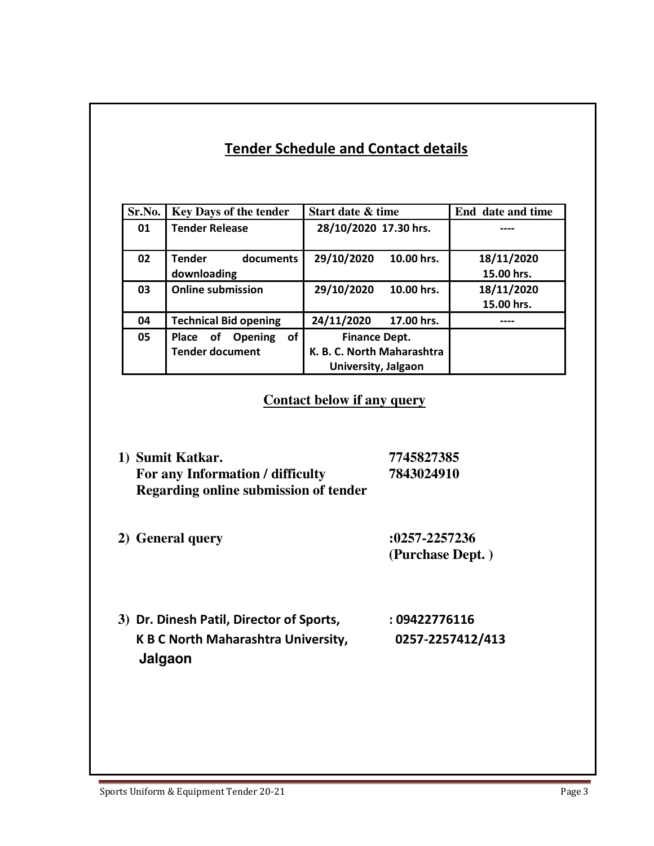## **Tender Schedule and Contact details**

| Sr.No. | Key Days of the tender                                        | Start date & time                                                         | End date and time        |
|--------|---------------------------------------------------------------|---------------------------------------------------------------------------|--------------------------|
| 01     | <b>Tender Release</b>                                         | 28/10/2020 17.30 hrs.                                                     |                          |
| 02     | <b>Tender</b><br>documents<br>downloading                     | 29/10/2020<br>10.00 hrs.                                                  | 18/11/2020<br>15.00 hrs. |
| 03     | <b>Online submission</b>                                      | 29/10/2020<br>10.00 hrs.                                                  | 18/11/2020<br>15.00 hrs. |
| 04     | <b>Technical Bid opening</b>                                  | 24/11/2020<br>17.00 hrs.                                                  |                          |
| 05     | of<br>Place<br>of<br><b>Opening</b><br><b>Tender document</b> | <b>Finance Dept.</b><br>K. B. C. North Maharashtra<br>University, Jalgaon |                          |

#### **Contact below if any query**

| 1) Sumit Katkar.                      | 7745827385 |
|---------------------------------------|------------|
| For any Information / difficulty      | 7843024910 |
| Regarding online submission of tender |            |

**2) General query :0257-2257236** 

**(Purchase Dept. )** 

**3) Dr. Dinesh Patil, Director of Sports, : 09422776116 K B C North Maharashtra University, 0257-2257412/413 Jalgaon**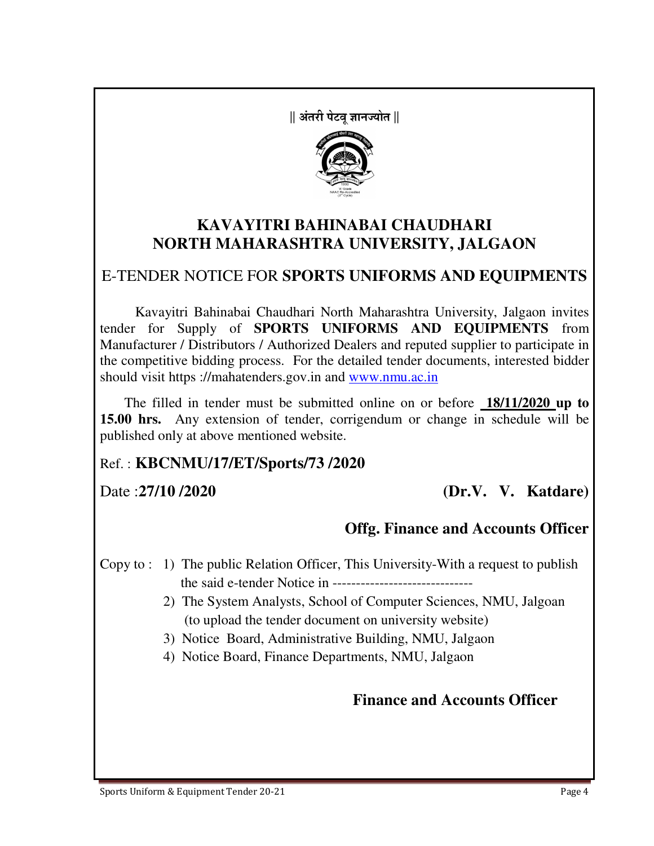$\parallel$  अंतरी पेटवू ज्ञानज्योत ∥



### **KAVAYITRI BAHINABAI CHAUDHARI NORTH MAHARASHTRA UNIVERSITY, JALGAON**

### E-TENDER NOTICE FOR **SPORTS UNIFORMS AND EQUIPMENTS**

 Kavayitri Bahinabai Chaudhari North Maharashtra University, Jalgaon invites tender for Supply of **SPORTS UNIFORMS AND EQUIPMENTS** from Manufacturer / Distributors / Authorized Dealers and reputed supplier to participate in the competitive bidding process. For the detailed tender documents, interested bidder should visit https ://mahatenders.gov.in and www.nmu.ac.in

 The filled in tender must be submitted online on or before **18/11/2020 up to 15.00 hrs.** Any extension of tender, corrigendum or change in schedule will be published only at above mentioned website.

Ref. : **KBCNMU/17/ET/Sports/73 /2020**

Date :**27/10 /2020 (Dr.V. V. Katdare)**

## **Offg. Finance and Accounts Officer**

Copy to : 1) The public Relation Officer, This University-With a request to publish the said e-tender Notice in ------------------------------

> 2) The System Analysts, School of Computer Sciences, NMU, Jalgoan (to upload the tender document on university website)

3) Notice Board, Administrative Building, NMU, Jalgaon

4) Notice Board, Finance Departments, NMU, Jalgaon

## **Finance and Accounts Officer**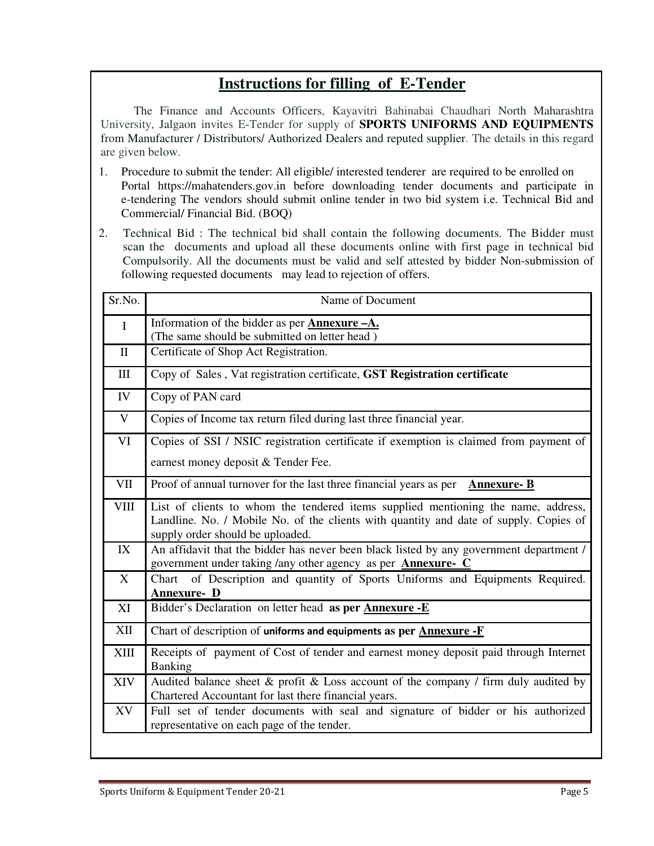### **Instructions for filling of E-Tender**

 The Finance and Accounts Officers, Kayavitri Bahinabai Chaudhari North Maharashtra University, Jalgaon invites E-Tender for supply of **SPORTS UNIFORMS AND EQUIPMENTS** from Manufacturer / Distributors/ Authorized Dealers and reputed supplier. The details in this regard are given below.

- 1. Procedure to submit the tender: All eligible/ interested tenderer are required to be enrolled on Portal https://mahatenders.gov.in before downloading tender documents and participate in e-tendering The vendors should submit online tender in two bid system i.e. Technical Bid and Commercial/ Financial Bid. (BOQ)
- 2. Technical Bid : The technical bid shall contain the following documents. The Bidder must scan the documents and upload all these documents online with first page in technical bid Compulsorily. All the documents must be valid and self attested by bidder Non-submission of following requested documents may lead to rejection of offers.

| Sr.No.       | Name of Document                                                                                                                                                                                               |
|--------------|----------------------------------------------------------------------------------------------------------------------------------------------------------------------------------------------------------------|
| $\mathbf I$  | Information of the bidder as per <b>Annexure</b> - A.<br>(The same should be submitted on letter head)                                                                                                         |
| $\mathbf{I}$ | Certificate of Shop Act Registration.                                                                                                                                                                          |
| III          | Copy of Sales, Vat registration certificate, GST Registration certificate                                                                                                                                      |
| IV           | Copy of PAN card                                                                                                                                                                                               |
| $\mathbf V$  | Copies of Income tax return filed during last three financial year.                                                                                                                                            |
| VI           | Copies of SSI / NSIC registration certificate if exemption is claimed from payment of                                                                                                                          |
|              | earnest money deposit & Tender Fee.                                                                                                                                                                            |
| VII          | Proof of annual turnover for the last three financial years as per Annexure-B                                                                                                                                  |
| <b>VIII</b>  | List of clients to whom the tendered items supplied mentioning the name, address,<br>Landline. No. / Mobile No. of the clients with quantity and date of supply. Copies of<br>supply order should be uploaded. |
| IX           | An affidavit that the bidder has never been black listed by any government department /<br>government under taking /any other agency as per <b>Annexure- C</b>                                                 |
| X            | of Description and quantity of Sports Uniforms and Equipments Required.<br>Chart<br>Annexure- D                                                                                                                |
| XI           | Bidder's Declaration on letter head as per Annexure -E                                                                                                                                                         |
| XII          | Chart of description of uniforms and equipments as per Annexure -F                                                                                                                                             |
| XIII         | Receipts of payment of Cost of tender and earnest money deposit paid through Internet<br><b>Banking</b>                                                                                                        |
| <b>XIV</b>   | Audited balance sheet $\&$ profit $\&$ Loss account of the company / firm duly audited by<br>Chartered Accountant for last there financial years.                                                              |
| XV           | Full set of tender documents with seal and signature of bidder or his authorized<br>representative on each page of the tender.                                                                                 |
|              |                                                                                                                                                                                                                |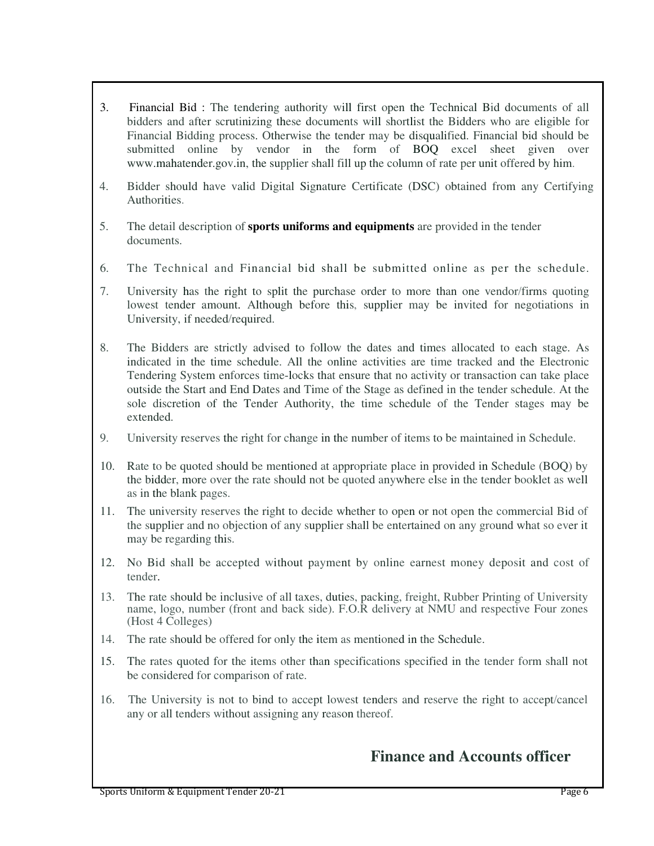- 3. Financial Bid : The tendering authority will first open the Technical Bid documents of all bidders and after scrutinizing these documents will shortlist the Bidders who are eligible for Financial Bidding process. Otherwise the tender may be disqualified. Financial bid should be submitted online by vendor in the form of BOQ excel sheet given over www.mahatender.gov.in, the supplier shall fill up the column of rate per unit offered by him.
- 4. Bidder should have valid Digital Signature Certificate (DSC) obtained from any Certifying Authorities.
- 5. The detail description of **sports uniforms and equipments** are provided in the tender documents.
- 6. The Technical and Financial bid shall be submitted online as per the schedule.
- 7. University has the right to split the purchase order to more than one vendor/firms quoting lowest tender amount. Although before this, supplier may be invited for negotiations in University, if needed/required.
- 8. The Bidders are strictly advised to follow the dates and times allocated to each stage. As indicated in the time schedule. All the online activities are time tracked and the Electronic Tendering System enforces time-locks that ensure that no activity or transaction can take place outside the Start and End Dates and Time of the Stage as defined in the tender schedule. At the sole discretion of the Tender Authority, the time schedule of the Tender stages may be extended.
- 9. University reserves the right for change in the number of items to be maintained in Schedule.
- 10. Rate to be quoted should be mentioned at appropriate place in provided in Schedule (BOQ) by the bidder, more over the rate should not be quoted anywhere else in the tender booklet as well as in the blank pages.
- 11. The university reserves the right to decide whether to open or not open the commercial Bid of the supplier and no objection of any supplier shall be entertained on any ground what so ever it may be regarding this.
- 12. No Bid shall be accepted without payment by online earnest money deposit and cost of tender.
- 13. The rate should be inclusive of all taxes, duties, packing, freight, Rubber Printing of University name, logo, number (front and back side). F.O.R delivery at NMU and respective Four zones (Host 4 Colleges)
- 14. The rate should be offered for only the item as mentioned in the Schedule.
- 15. The rates quoted for the items other than specifications specified in the tender form shall not be considered for comparison of rate.
- 16. The University is not to bind to accept lowest tenders and reserve the right to accept/cancel any or all tenders without assigning any reason thereof.

### **Finance and Accounts officer**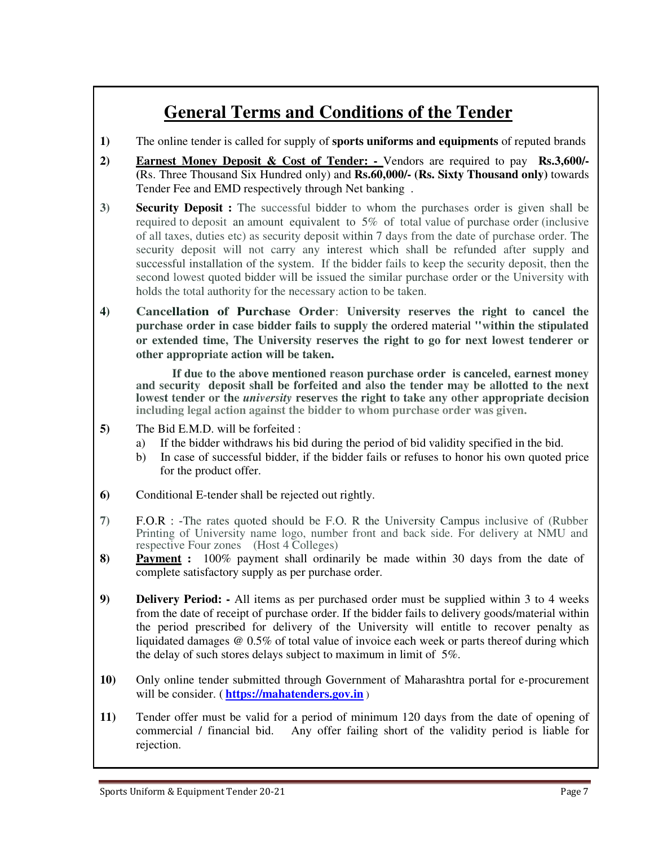# **General Terms and Conditions of the Tender**

- **1)** The online tender is called for supply of **sports uniforms and equipments** of reputed brands
- **2) Earnest Money Deposit & Cost of Tender:** Vendors are required to pay **Rs.3,600/- (**Rs. Three Thousand Six Hundred only) and **Rs.60,000/- (Rs. Sixty Thousand only)** towards Tender Fee and EMD respectively through Net banking .
- **3) Security Deposit :** The successful bidder to whom the purchases order is given shall be required to deposit an amount equivalent to 5% of total value of purchase order (inclusive of all taxes, duties etc) as security deposit within 7 days from the date of purchase order. The security deposit will not carry any interest which shall be refunded after supply and successful installation of the system. If the bidder fails to keep the security deposit, then the second lowest quoted bidder will be issued the similar purchase order or the University with holds the total authority for the necessary action to be taken.
- **4) Cancellation of Purchase Order**: **University reserves the right to cancel the purchase order in case bidder fails to supply the** ordered material **"within the stipulated or extended time, The University reserves the right to go for next lowest tenderer or other appropriate action will be taken.**

**If due to the above mentioned reason purchase order is canceled, earnest money and security deposit shall be forfeited and also the tender may be allotted to the next lowest tender or the** *university* **reserves the right to take any other appropriate decision including legal action against the bidder to whom purchase order was given.** 

- **5)** The Bid E.M.D. will be forfeited :
	- a) If the bidder withdraws his bid during the period of bid validity specified in the bid.
	- b) In case of successful bidder, if the bidder fails or refuses to honor his own quoted price for the product offer.
- **6)** Conditional E-tender shall be rejected out rightly.
- **7)** F.O.R : -The rates quoted should be F.O. R the University Campus inclusive of (Rubber Printing of University name logo, number front and back side. For delivery at NMU and respective Four zones (Host 4 Colleges)
- **8) Payment :** 100% payment shall ordinarily be made within 30 days from the date of complete satisfactory supply as per purchase order.
- **9) Delivery Period: -** All items as per purchased order must be supplied within 3 to 4 weeks from the date of receipt of purchase order. If the bidder fails to delivery goods/material within the period prescribed for delivery of the University will entitle to recover penalty as liquidated damages @ 0.5% of total value of invoice each week or parts thereof during which the delay of such stores delays subject to maximum in limit of 5%.
- **10)** Only online tender submitted through Government of Maharashtra portal for e-procurement will be consider. ( **https://mahatenders.gov.in** )
- **11)** Tender offer must be valid for a period of minimum 120 days from the date of opening of commercial / financial bid. Any offer failing short of the validity period is liable for rejection.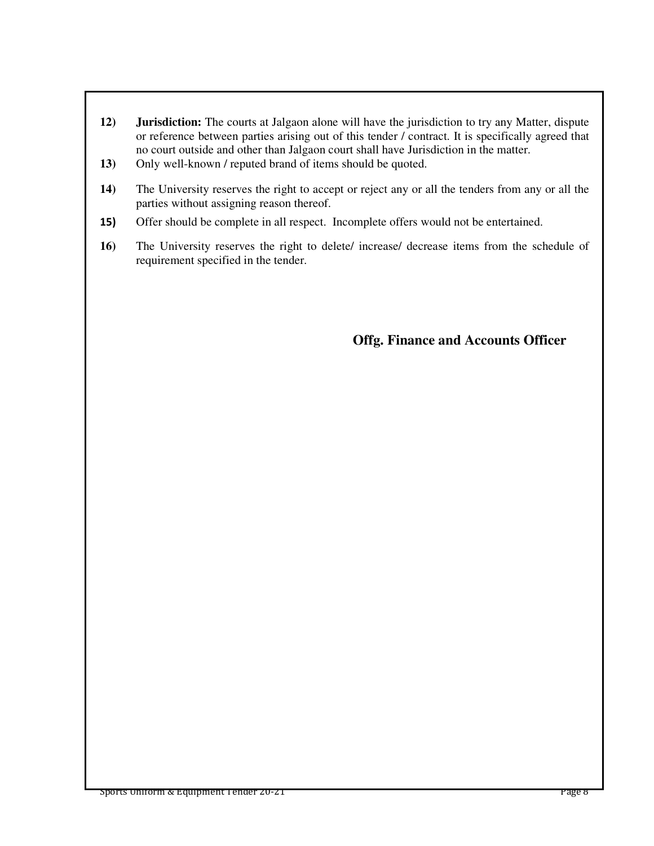- **12) Jurisdiction:** The courts at Jalgaon alone will have the jurisdiction to try any Matter, dispute or reference between parties arising out of this tender / contract. It is specifically agreed that no court outside and other than Jalgaon court shall have Jurisdiction in the matter.
- **13)** Only well-known / reputed brand of items should be quoted.
- **14)** The University reserves the right to accept or reject any or all the tenders from any or all the parties without assigning reason thereof.
- **15)** Offer should be complete in all respect. Incomplete offers would not be entertained.
- **16)** The University reserves the right to delete/ increase/ decrease items from the schedule of requirement specified in the tender.

#### **Offg. Finance and Accounts Officer**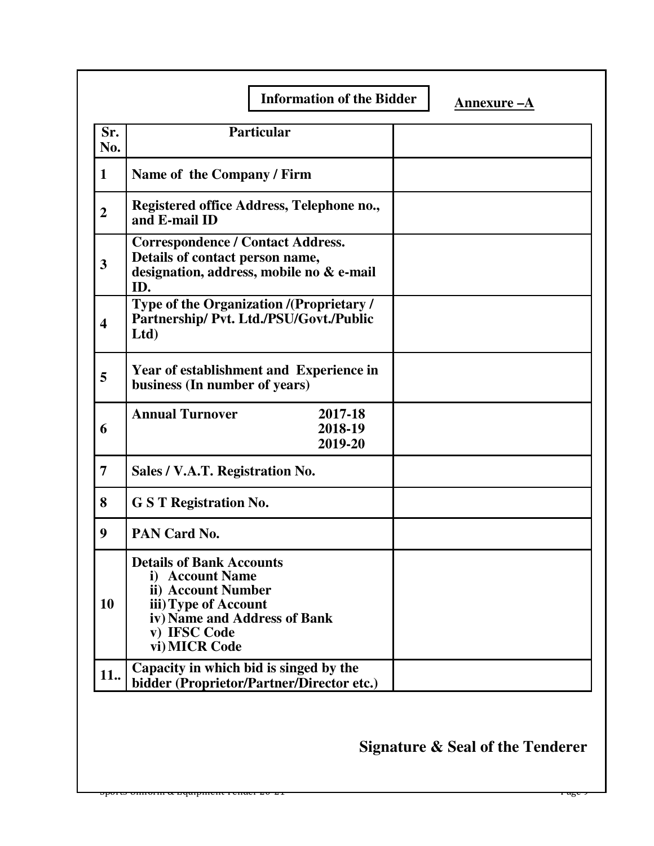|                         | <b>Information of the Bidder</b>                                                                                                                                  | Annexure - A |
|-------------------------|-------------------------------------------------------------------------------------------------------------------------------------------------------------------|--------------|
| Sr.<br>No.              | <b>Particular</b>                                                                                                                                                 |              |
| 1                       | Name of the Company / Firm                                                                                                                                        |              |
| $\overline{2}$          | Registered office Address, Telephone no.,<br>and E-mail ID                                                                                                        |              |
| $\mathbf{3}$            | <b>Correspondence / Contact Address.</b><br>Details of contact person name,<br>designation, address, mobile no & e-mail<br>ID.                                    |              |
| $\overline{\mathbf{4}}$ | Type of the Organization /(Proprietary /<br>Partnership/ Pvt. Ltd./PSU/Govt./Public<br>$Ltd$                                                                      |              |
| 5                       | Year of establishment and Experience in<br>business (In number of years)                                                                                          |              |
| 6                       | <b>Annual Turnover</b><br>2017-18<br>2018-19<br>2019-20                                                                                                           |              |
| 7                       | Sales / V.A.T. Registration No.                                                                                                                                   |              |
| 8                       | <b>G S T Registration No.</b>                                                                                                                                     |              |
| $\boldsymbol{9}$        | PAN Card No.                                                                                                                                                      |              |
| <b>10</b>               | <b>Details of Bank Accounts</b><br>i) Account Name<br>ii) Account Number<br>iii) Type of Account<br>iv) Name and Address of Bank<br>v) IFSC Code<br>vi) MICR Code |              |
| 11.                     | Capacity in which bid is singed by the<br>bidder (Proprietor/Partner/Director etc.)                                                                               |              |

# **Signature & Seal of the Tenderer**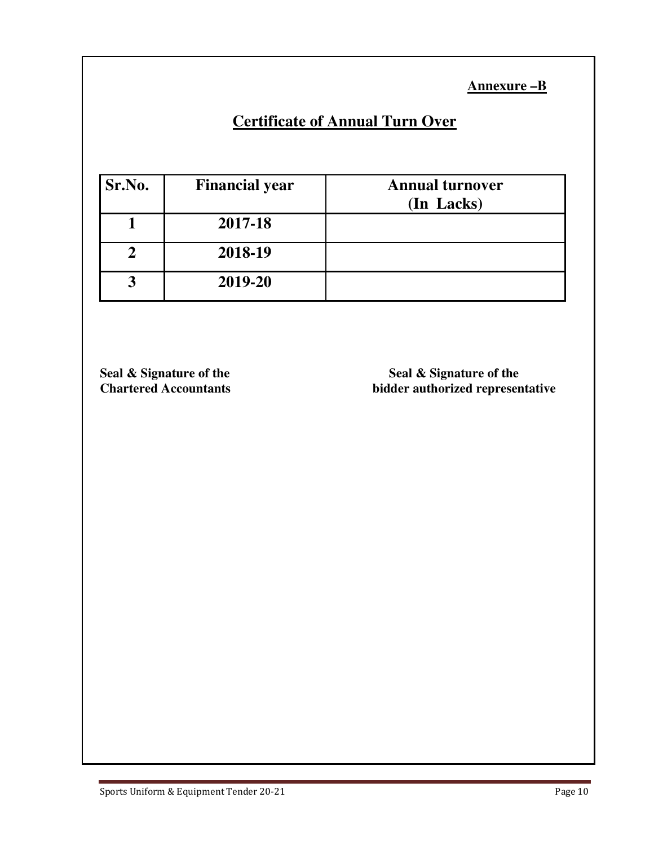**Annexure –B**

# **Certificate of Annual Turn Over**

| Sr.No. | <b>Financial year</b> | <b>Annual turnover</b><br>(In Lacks) |
|--------|-----------------------|--------------------------------------|
|        | 2017-18               |                                      |
|        | 2018-19               |                                      |
|        | 2019-20               |                                      |

Seal & Signature of the **Seal & Signature of the Chartered Accountants bidder authorized representative**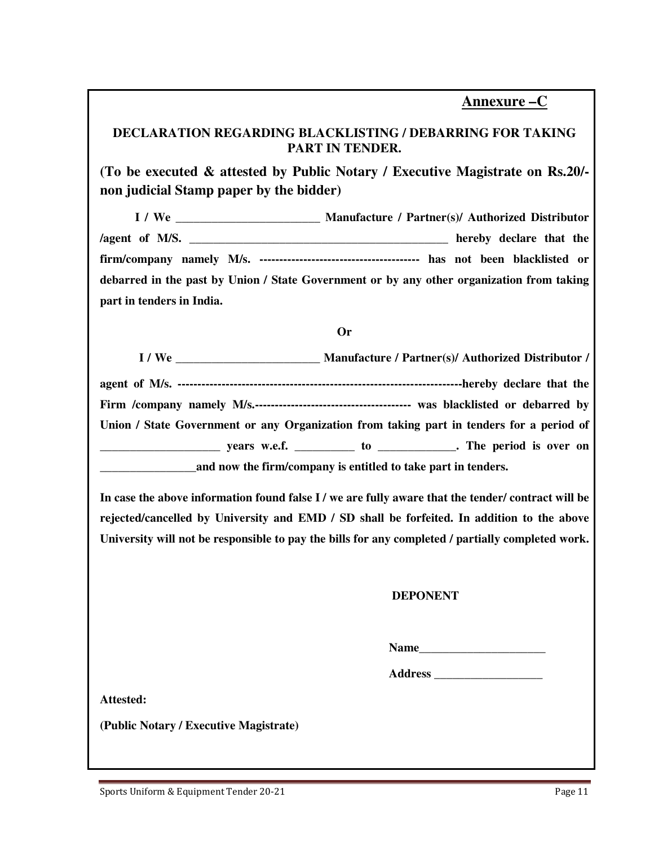### **Annexure –C**

#### **DECLARATION REGARDING BLACKLISTING / DEBARRING FOR TAKING PART IN TENDER.**

**(To be executed & attested by Public Notary / Executive Magistrate on Rs.20/ non judicial Stamp paper by the bidder)** 

 **I / We \_\_\_\_\_\_\_\_\_\_\_\_\_\_\_\_\_\_\_\_\_\_\_\_ Manufacture / Partner(s)/ Authorized Distributor /agent of M/S. \_\_\_\_\_\_\_\_\_\_\_\_\_\_\_\_\_\_\_\_\_\_\_\_\_\_\_\_\_\_\_\_\_\_\_\_\_\_\_\_\_\_\_ hereby declare that the firm/company namely M/s. ---------------------------------------- has not been blacklisted or debarred in the past by Union / State Government or by any other organization from taking part in tenders in India.** 

#### **Or**

| Union / State Government or any Organization from taking part in tenders for a period of |
|------------------------------------------------------------------------------------------|
|                                                                                          |
| and now the firm/company is entitled to take part in tenders.                            |

**In case the above information found false I / we are fully aware that the tender/ contract will be rejected/cancelled by University and EMD / SD shall be forfeited. In addition to the above University will not be responsible to pay the bills for any completed / partially completed work.** 

#### **DEPONENT**

Name

**Address \_\_\_\_\_\_\_\_\_\_\_\_\_\_\_\_\_\_** 

**Attested:** 

**(Public Notary / Executive Magistrate)**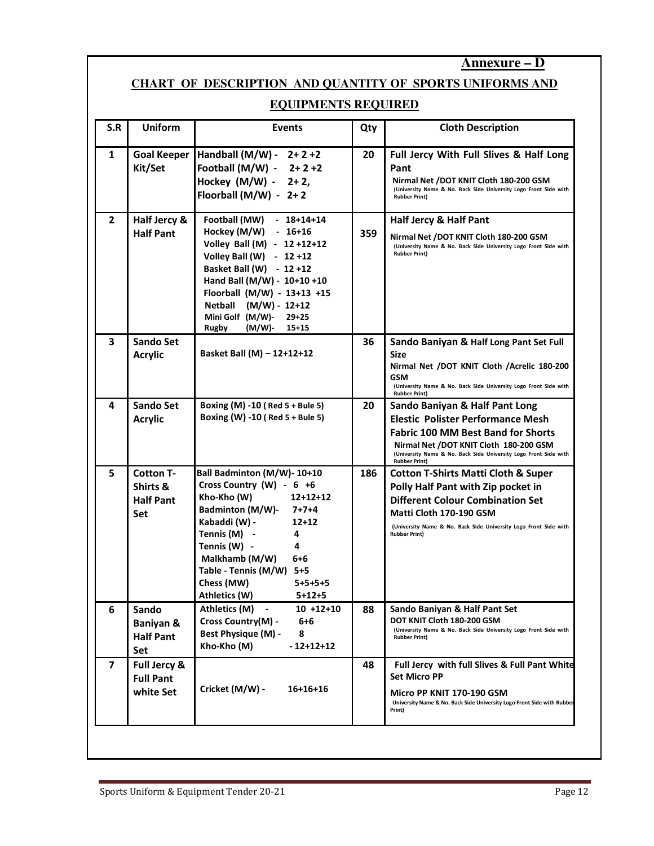#### **Annexure – D**

#### **CHART OF DESCRIPTION AND QUANTITY OF SPORTS UNIFORMS AND**

#### **EQUIPMENTS REQUIRED**

| S.R            | <b>Uniform</b>                                          | <b>Events</b>                                                                                                                                                                                                                                                                                                             | Qty | <b>Cloth Description</b>                                                                                                                                                                                                                                                 |
|----------------|---------------------------------------------------------|---------------------------------------------------------------------------------------------------------------------------------------------------------------------------------------------------------------------------------------------------------------------------------------------------------------------------|-----|--------------------------------------------------------------------------------------------------------------------------------------------------------------------------------------------------------------------------------------------------------------------------|
| 1              | <b>Goal Keeper</b><br>Kit/Set                           | Handball $(M/W) - 2 + 2 + 2$<br>Football (M/W) - $2+2+2$<br>Hockey (M/W) - $2+2$ ,<br>Floorball (M/W) - $2+2$                                                                                                                                                                                                             | 20  | Full Jercy With Full Slives & Half Long<br>Pant<br>Nirmal Net /DOT KNIT Cloth 180-200 GSM<br>(University Name & No. Back Side University Logo Front Side with<br><b>Rubber Print)</b>                                                                                    |
| $\overline{2}$ | Half Jercy &<br><b>Half Pant</b>                        | Football (MW) - 18+14+14<br>Hockey (M/W)<br>- 16+16<br>Volley Ball (M) - 12 +12+12<br>Volley Ball $(W) - 12 + 12$<br>Basket Ball (W) - 12 +12<br>Hand Ball (M/W) - 10+10 +10<br>Floorball (M/W) - 13+13 +15<br>Netball<br>(M/W) - 12+12<br>Mini Golf (M/W)-<br>$29 + 25$<br>(M/W)-<br>$15 + 15$<br>Rugby                  | 359 | Half Jercy & Half Pant<br>Nirmal Net /DOT KNIT Cloth 180-200 GSM<br>(University Name & No. Back Side University Logo Front Side with<br><b>Rubber Print)</b>                                                                                                             |
| 3              | <b>Sando Set</b><br><b>Acrylic</b>                      | Basket Ball (M) - 12+12+12                                                                                                                                                                                                                                                                                                | 36  | Sando Baniyan & Half Long Pant Set Full<br><b>Size</b><br>Nirmal Net /DOT KNIT Cloth /Acrelic 180-200<br><b>GSM</b><br>(University Name & No. Back Side University Logo Front Side with<br><b>Rubber Print)</b>                                                          |
| 4              | <b>Sando Set</b><br><b>Acrylic</b>                      | Boxing (M) -10 (Red $5 + B$ ule 5)<br>Boxing (W) -10 (Red 5 + Bule 5)                                                                                                                                                                                                                                                     | 20  | <b>Sando Baniyan &amp; Half Pant Long</b><br><b>Elestic Polister Performance Mesh</b><br><b>Fabric 100 MM Best Band for Shorts</b><br>Nirmal Net /DOT KNIT Cloth 180-200 GSM<br>(University Name & No. Back Side University Logo Front Side with<br><b>Rubber Print)</b> |
| 5              | <b>Cotton T-</b><br>Shirts &<br><b>Half Pant</b><br>Set | Ball Badminton (M/W)- 10+10<br>Cross Country $(W) - 6 + 6$<br>Kho-Kho (W)<br>$12+12+12$<br>Badminton (M/W)-<br>$7 + 7 + 4$<br>Kabaddi (W) -<br>$12+12$<br>Tennis (M) -<br>4<br>Tennis (W) -<br>4<br>Malkhamb (M/W)<br>$6+6$<br>Table - Tennis (M/W) 5+5<br>Chess (MW)<br>$5 + 5 + 5 + 5$<br>Athletics (W)<br>$5 + 12 + 5$ | 186 | <b>Cotton T-Shirts Matti Cloth &amp; Super</b><br>Polly Half Pant with Zip pocket in<br><b>Different Colour Combination Set</b><br>Matti Cloth 170-190 GSM<br>(University Name & No. Back Side University Logo Front Side with<br><b>Rubber Print)</b>                   |
| 6              | Sando<br>Baniyan &<br><b>Half Pant</b><br>Set           | $10 + 12 + 10$<br>Athletics (M)<br>Cross Country(M) -<br>6+6<br>Best Physique (M) -<br>8<br>Kho-Kho (M)<br>- 12+12+12                                                                                                                                                                                                     | 88  | Sando Baniyan & Half Pant Set<br>DOT KNIT Cloth 180-200 GSM<br>(University Name & No. Back Side University Logo Front Side with<br><b>Rubber Print)</b>                                                                                                                  |
| $\overline{ }$ | Full Jercy &<br><b>Full Pant</b><br>white Set           | Cricket (M/W) -<br>$16+16+16$                                                                                                                                                                                                                                                                                             | 48  | Full Jercy with full Slives & Full Pant White<br><b>Set Micro PP</b><br>Micro PP KNIT 170-190 GSM<br>University Name & No. Back Side University Logo Front Side with Rubber<br>Print)                                                                                    |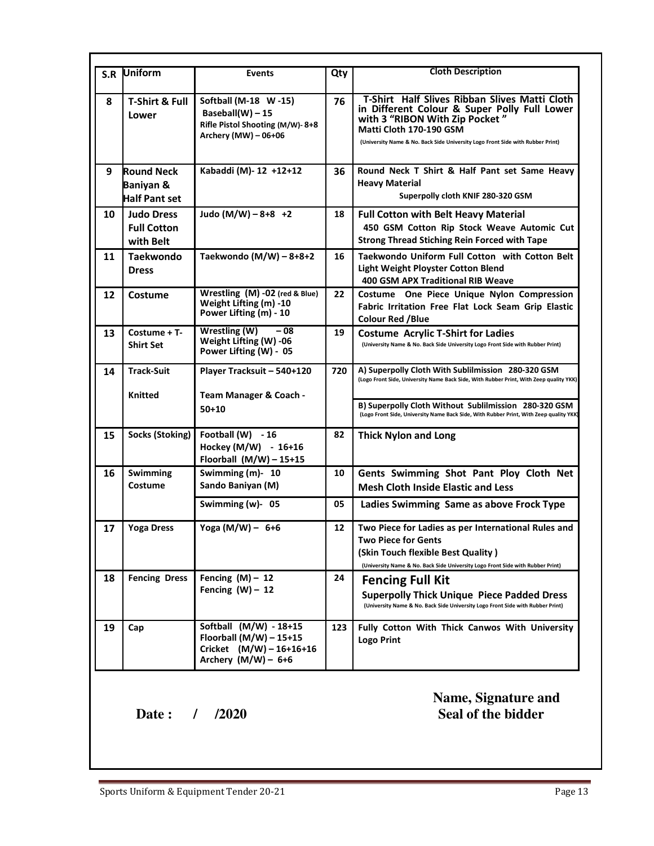| S.R | <b>Uniform</b>                                         | <b>Events</b>                                                                                              | Qty | <b>Cloth Description</b>                                                                                                                                                                                                                     |
|-----|--------------------------------------------------------|------------------------------------------------------------------------------------------------------------|-----|----------------------------------------------------------------------------------------------------------------------------------------------------------------------------------------------------------------------------------------------|
| 8   | <b>T-Shirt &amp; Full</b><br>Lower                     | Softball (M-18 W-15)<br>Baseball $(W)$ – 15<br>Rifle Pistol Shooting (M/W)-8+8<br>Archery (MW) - 06+06     | 76  | T-Shirt Half Slives Ribban Slives Matti Cloth<br>in Different Colour & Super Polly Full Lower<br>with 3 "RIBON With Zip Pocket"<br>Matti Cloth 170-190 GSM<br>(University Name & No. Back Side University Logo Front Side with Rubber Print) |
| 9   | <b>Round Neck</b><br>Baniyan &<br><b>Half Pant set</b> | Kabaddi (M)- 12 +12+12                                                                                     | 36  | Round Neck T Shirt & Half Pant set Same Heavy<br><b>Heavy Material</b><br>Superpolly cloth KNIF 280-320 GSM                                                                                                                                  |
| 10  | Judo Dress<br><b>Full Cotton</b><br>with Belt          | Judo (M/W) $-8+8$ +2                                                                                       | 18  | <b>Full Cotton with Belt Heavy Material</b><br>450 GSM Cotton Rip Stock Weave Automic Cut<br><b>Strong Thread Stiching Rein Forced with Tape</b>                                                                                             |
| 11  | <b>Taekwondo</b><br><b>Dress</b>                       | Taekwondo (M/W) - 8+8+2                                                                                    | 16  | Taekwondo Uniform Full Cotton with Cotton Belt<br><b>Light Weight Ployster Cotton Blend</b><br><b>400 GSM APX Traditional RIB Weave</b>                                                                                                      |
| 12  | Costume                                                | Wrestling (M) -02 (red & Blue)<br>Weight Lifting (m) -10<br>Power Lifting (m) - 10                         | 22  | Costume One Piece Unique Nylon Compression<br>Fabric Irritation Free Flat Lock Seam Grip Elastic<br><b>Colour Red /Blue</b>                                                                                                                  |
| 13  | Costume + T-<br><b>Shirt Set</b>                       | Wrestling (W)<br>- 08<br>Weight Lifting (W) -06<br>Power Lifting (W) - 05                                  | 19  | <b>Costume Acrylic T-Shirt for Ladies</b><br>(University Name & No. Back Side University Logo Front Side with Rubber Print)                                                                                                                  |
| 14  | <b>Track-Suit</b>                                      | Player Tracksuit - 540+120                                                                                 | 720 | A) Superpolly Cloth With Sublilmission 280-320 GSM<br>(Logo Front Side, University Name Back Side, With Rubber Print, With Zeep quality YKK)                                                                                                 |
|     | Knitted                                                | Team Manager & Coach -<br>$50 + 10$                                                                        |     | B) Superpolly Cloth Without Sublilmission 280-320 GSM<br>(Logo Front Side, University Name Back Side, With Rubber Print, With Zeep quality YKK)                                                                                              |
| 15  | <b>Socks (Stoking)</b>                                 | Football (W) - 16<br>Hockey (M/W) - 16+16<br>Floorball $(M/W) - 15+15$                                     | 82  | <b>Thick Nylon and Long</b>                                                                                                                                                                                                                  |
| 16  | Swimming<br>Costume                                    | Swimming (m)- 10<br>Sando Baniyan (M)                                                                      | 10  | Gents Swimming Shot Pant Ploy Cloth Net<br><b>Mesh Cloth Inside Elastic and Less</b>                                                                                                                                                         |
|     |                                                        | Swimming (w)-05                                                                                            | 05  | Ladies Swimming Same as above Frock Type                                                                                                                                                                                                     |
| 17  | <b>Yoga Dress</b>                                      | Yoga $(M/W) - 6+6$                                                                                         | 12  | Two Piece for Ladies as per International Rules and<br><b>Two Piece for Gents</b><br>(Skin Touch flexible Best Quality)<br>(University Name & No. Back Side University Logo Front Side with Rubber Print)                                    |
| 18  | <b>Fencing Dress</b>                                   | Fencing $(M)$ – 12<br>Fencing $(W) - 12$                                                                   | 24  | <b>Fencing Full Kit</b><br><b>Superpolly Thick Unique Piece Padded Dress</b><br>(University Name & No. Back Side University Logo Front Side with Rubber Print)                                                                               |
| 19  | Cap                                                    | Softball (M/W) - 18+15<br>Floorball (M/W) $- 15+15$<br>Cricket $(M/W) - 16+16+16$<br>Archery $(M/W)$ – 6+6 | 123 | Fully Cotton With Thick Canwos With University<br><b>Logo Print</b>                                                                                                                                                                          |

Date : / /2020 Seal of the bidder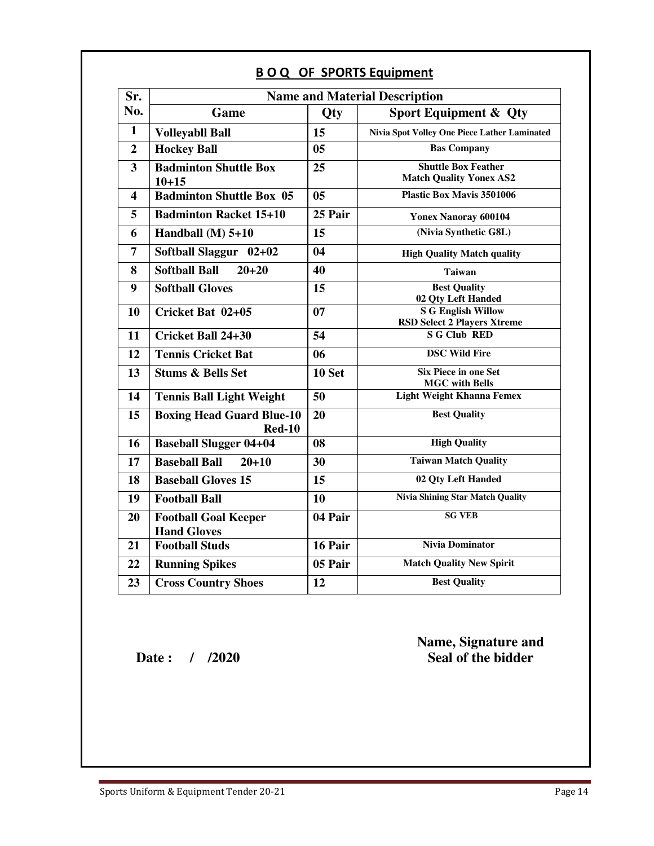| <b>Name and Material Description</b><br>Sr.       |                |                                                                 |  |  |  |
|---------------------------------------------------|----------------|-----------------------------------------------------------------|--|--|--|
| Game                                              | Qty            | <b>Sport Equipment &amp; Qty</b>                                |  |  |  |
| <b>Volleyabll Ball</b>                            | 15             | Nivia Spot Volley One Piece Lather Laminated                    |  |  |  |
| <b>Hockey Ball</b>                                | 0 <sub>5</sub> | <b>Bas Company</b>                                              |  |  |  |
| <b>Badminton Shuttle Box</b><br>$10 + 15$         | 25             | <b>Shuttle Box Feather</b><br><b>Match Quality Yonex AS2</b>    |  |  |  |
| <b>Badminton Shuttle Box 05</b>                   | 0 <sub>5</sub> | <b>Plastic Box Mavis 3501006</b>                                |  |  |  |
| <b>Badminton Racket 15+10</b>                     | 25 Pair        | <b>Yonex Nanoray 600104</b>                                     |  |  |  |
| Handball $(M)$ 5+10                               | 15             | (Nivia Synthetic G8L)                                           |  |  |  |
| Softball Slaggur 02+02                            | 04             | <b>High Quality Match quality</b>                               |  |  |  |
| <b>Softball Ball</b><br>$20 + 20$                 | 40             | <b>Taiwan</b>                                                   |  |  |  |
| <b>Softball Gloves</b>                            | 15             | <b>Best Quality</b><br>02 Qty Left Handed                       |  |  |  |
| Cricket Bat 02+05                                 | 07             | <b>S G English Willow</b><br><b>RSD Select 2 Players Xtreme</b> |  |  |  |
| <b>Cricket Ball 24+30</b>                         | 54             | <b>S G Club RED</b>                                             |  |  |  |
| <b>Tennis Cricket Bat</b>                         | 06             | <b>DSC Wild Fire</b>                                            |  |  |  |
| <b>Stums &amp; Bells Set</b>                      | 10 Set         | <b>Six Piece in one Set</b><br><b>MGC</b> with Bells            |  |  |  |
| <b>Tennis Ball Light Weight</b>                   | 50             | <b>Light Weight Khanna Femex</b>                                |  |  |  |
| <b>Boxing Head Guard Blue-10</b><br><b>Red-10</b> | 20             | <b>Best Quality</b>                                             |  |  |  |
| <b>Baseball Slugger 04+04</b>                     | 08             | <b>High Quality</b>                                             |  |  |  |
| <b>Baseball Ball</b><br>$20 + 10$                 | 30             | <b>Taiwan Match Quality</b>                                     |  |  |  |
| <b>Baseball Gloves 15</b>                         | 15             | 02 Qty Left Handed                                              |  |  |  |
| <b>Football Ball</b>                              | 10             | <b>Nivia Shining Star Match Quality</b>                         |  |  |  |
| <b>Football Goal Keeper</b><br><b>Hand Gloves</b> | 04 Pair        | <b>SG VEB</b>                                                   |  |  |  |
| <b>Football Studs</b>                             | 16 Pair        | <b>Nivia Dominator</b>                                          |  |  |  |
| <b>Running Spikes</b>                             | 05 Pair        | <b>Match Quality New Spirit</b>                                 |  |  |  |
| <b>Cross Country Shoes</b>                        | 12             | <b>Best Quality</b>                                             |  |  |  |
|                                                   |                |                                                                 |  |  |  |

### **B O Q OF SPORTS Equipment**

**1 Date :** / /2020 **12020 12020 12020 12020 12020 12020 12020 12020 12020 12020 12020 12020 12020 12020 12020 12020 12020 12020 12020 12020 12020 12020 12020 12020 12020** Seal of the bidder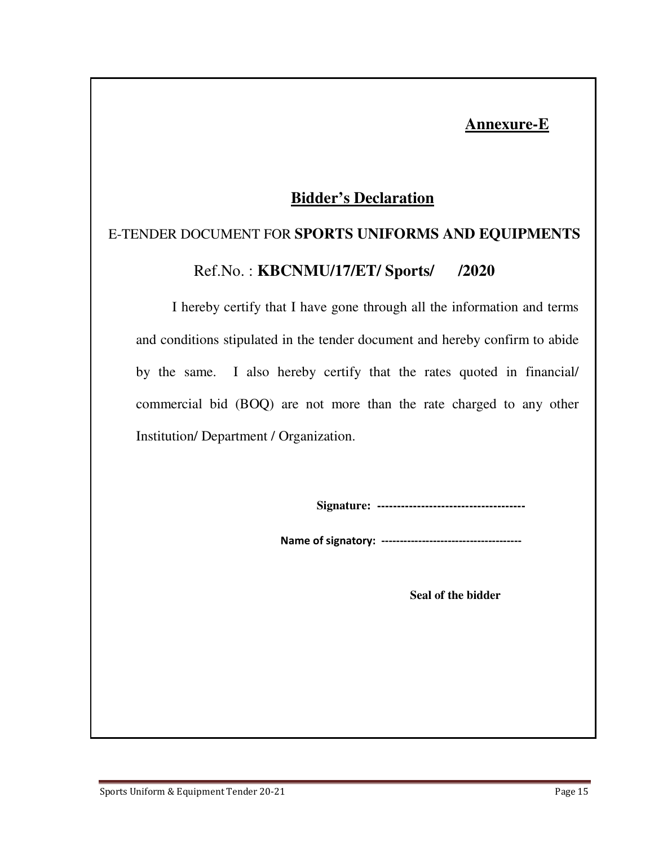### **Annexure-E**

### **Bidder's Declaration**

# E-TENDER DOCUMENT FOR **SPORTS UNIFORMS AND EQUIPMENTS**

Ref.No. : **KBCNMU/17/ET/ Sports/ /2020** 

I hereby certify that I have gone through all the information and terms and conditions stipulated in the tender document and hereby confirm to abide by the same. I also hereby certify that the rates quoted in financial/ commercial bid (BOQ) are not more than the rate charged to any other Institution/ Department / Organization.

**Signature: -------------------------------------** 

 **Name of signatory: --------------------------------------** 

 **Seal of the bidder**